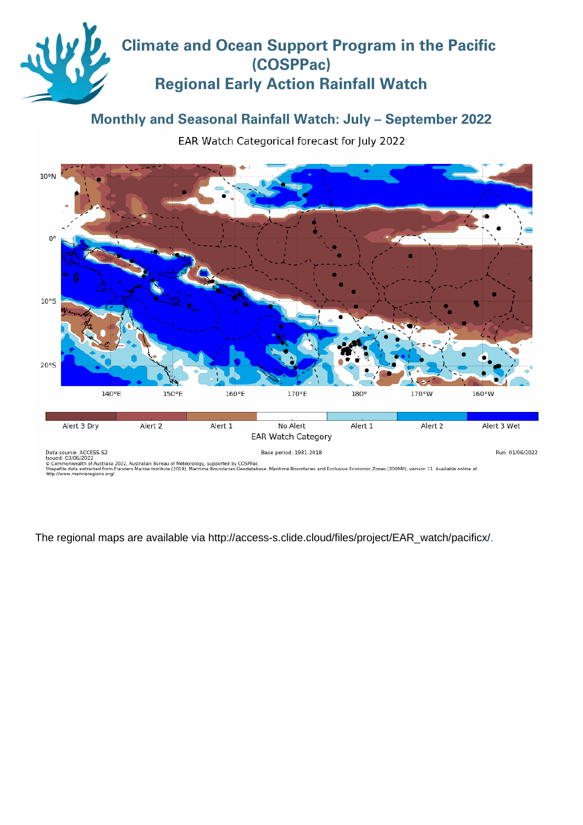# **Climate and Ocean Support Program in the Pacific (COSPPac) Regional Early Action Rainfall Watch**

## **Monthly and Seasonal Rainfall Watch: July – September 2022**

EAR Watch Categorical forecast for July 2022



The regional maps are available via [http://access-s.clide.cloud/files/project/EAR\\_watch/pacificx/.](http://access-s.clide.cloud/files/project/EAR_watch/pacificx/)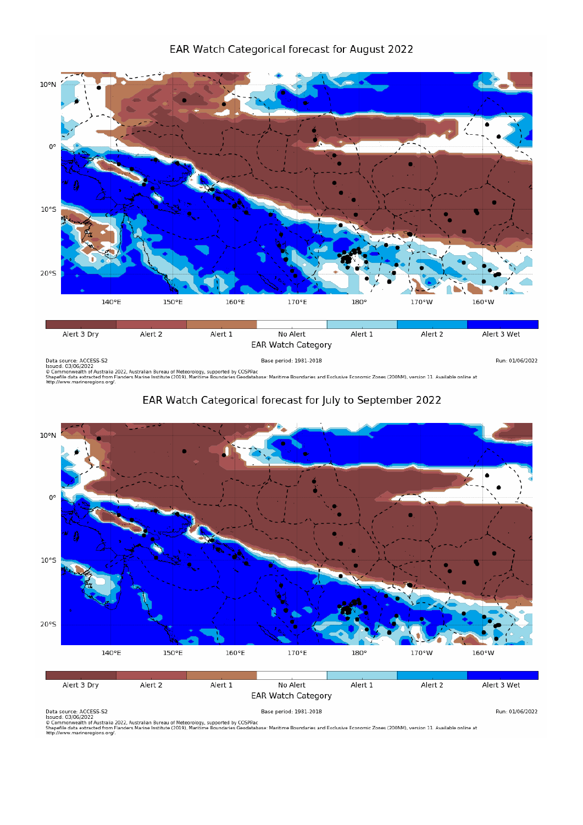

Run: 01/06/2022

Data source: ACCESS-S2<br>Issued: 03/06/2022<br>© Commonwealth of Australia 2022, Australian Bureau of Meteorology, supported by COSPPac<br>Shapefile data extracted from Flanders Marine Institute (2019), Maritime Boundaries Geodata

## EAR Watch Categorical forecast for July to September 2022



Data source: ACCESS-S2<br>Issued: 03/06/2022<br>© Commonwealth of Australia 2022, Australian Bureau of Meteorology, supported by COSPPac<br>Shapefile data extracted from Flanders Marine Institute (2019), Maritime Boundaries Geodata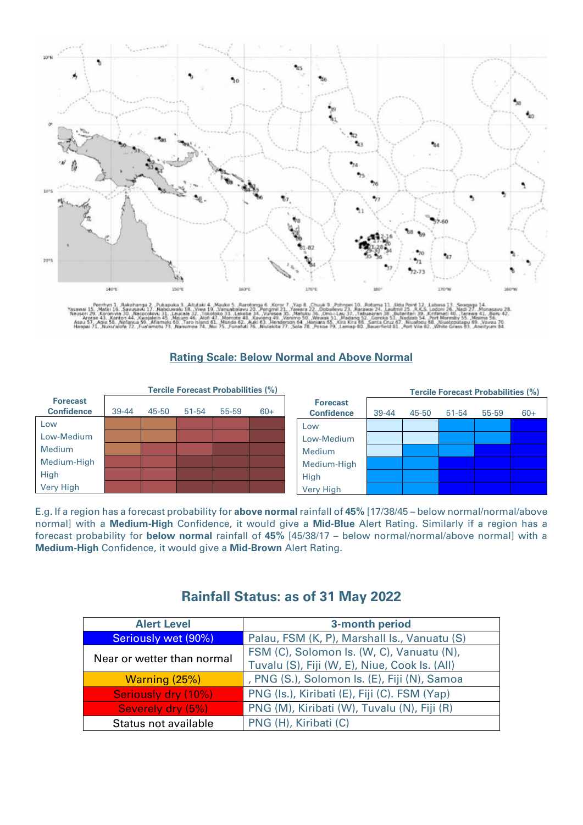

### **Rating Scale: Below Normal and Above Normal**

|                                      | <b>Tercile Forecast Probabilities (%)</b> |       |       |       |       | <b>Tercile Forecast Probabilities (%)</b> |           |       |           |       |       |
|--------------------------------------|-------------------------------------------|-------|-------|-------|-------|-------------------------------------------|-----------|-------|-----------|-------|-------|
| <b>Forecast</b><br><b>Confidence</b> | 39-44                                     | 45-50 | 51-54 | 55-59 | $60+$ | <b>Forecast</b><br><b>Confidence</b>      | $39 - 44$ | 45-50 | $51 - 54$ | 55-59 | $60+$ |
| Low                                  |                                           |       |       |       |       | Low                                       |           |       |           |       |       |
| Low-Medium                           |                                           |       |       |       |       | Low-Medium                                |           |       |           |       |       |
| Medium                               |                                           |       |       |       |       | Medium                                    |           |       |           |       |       |
| Medium-High                          |                                           |       |       |       |       | Medium-High                               |           |       |           |       |       |
| High                                 |                                           |       |       |       |       | High                                      |           |       |           |       |       |
| Very High                            |                                           |       |       |       |       | <b>Very High</b>                          |           |       |           |       |       |

E.g. If a region has a forecast probability for **above normal** rainfall of **45%** [17/38/45 – below normal/normal/above normal] with a **Medium-High** Confidence, it would give a **Mid-Blue** Alert Rating. Similarly if a region has a forecast probability for **below normal** rainfall of **45%** [45/38/17 – below normal/normal/above normal] with a **Medium-High** Confidence, it would give a **Mid-Brown** Alert Rating.

| <b>Alert Level</b>         | 3-month period                                |  |  |  |  |
|----------------------------|-----------------------------------------------|--|--|--|--|
| Seriously wet (90%)        | Palau, FSM (K, P), Marshall Is., Vanuatu (S)  |  |  |  |  |
| Near or wetter than normal | FSM (C), Solomon Is. (W, C), Vanuatu (N),     |  |  |  |  |
|                            | Tuvalu (S), Fiji (W, E), Niue, Cook Is. (All) |  |  |  |  |
| Warning (25%)              | , PNG (S.), Solomon Is. (E), Fiji (N), Samoa  |  |  |  |  |
| <b>Seriously dry (10%)</b> | PNG (Is.), Kiribati (E), Fiji (C). FSM (Yap)  |  |  |  |  |
| Severely dry (5%)          | PNG (M), Kiribati (W), Tuvalu (N), Fiji (R)   |  |  |  |  |
| Status not available       | PNG (H), Kiribati (C)                         |  |  |  |  |

## **Rainfall Status: as of 31 May 2022**